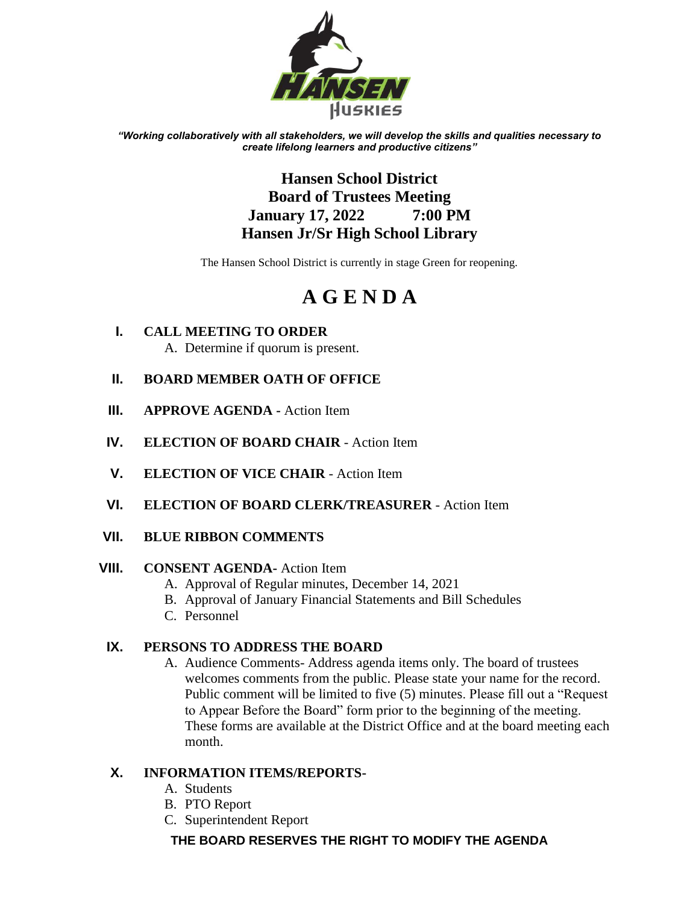

*"Working collaboratively with all stakeholders, we will develop the skills and qualities necessary to create lifelong learners and productive citizens"*

# **Hansen School District Board of Trustees Meeting January 17, 2022 7:00 PM Hansen Jr/Sr High School Library**

The Hansen School District is currently in stage Green for reopening.

# **A G E N D A**

**I. CALL MEETING TO ORDER** A. Determine if quorum is present.

# **II. BOARD MEMBER OATH OF OFFICE**

- **III. APPROVE AGENDA -** Action Item
- **IV. ELECTION OF BOARD CHAIR** Action Item
- **V. ELECTION OF VICE CHAIR** Action Item
- **VI. ELECTION OF BOARD CLERK/TREASURER** Action Item
- **VII. BLUE RIBBON COMMENTS**

# **VIII. CONSENT AGENDA-** Action Item

- A. Approval of Regular minutes, December 14, 2021
- B. Approval of January Financial Statements and Bill Schedules
- C. Personnel

# **IX. PERSONS TO ADDRESS THE BOARD**

A. Audience Comments- Address agenda items only. The board of trustees welcomes comments from the public. Please state your name for the record. Public comment will be limited to five (5) minutes. Please fill out a "Request to Appear Before the Board" form prior to the beginning of the meeting. These forms are available at the District Office and at the board meeting each month.

# **X. INFORMATION ITEMS/REPORTS-**

- A. Students
- B. PTO Report
- C. Superintendent Report

# **THE BOARD RESERVES THE RIGHT TO MODIFY THE AGENDA**